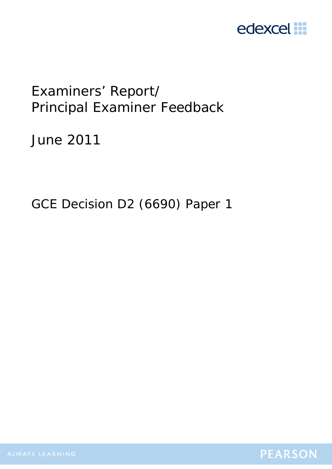

# Examiners' Report/ Principal Examiner Feedback

June 2011

GCE Decision D2 (6690) Paper 1

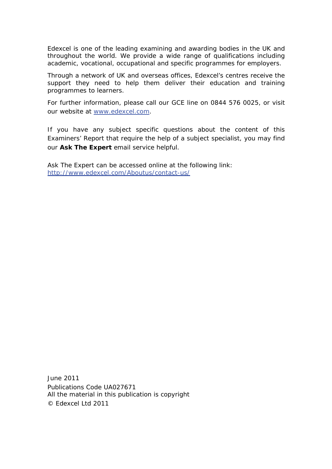Edexcel is one of the leading examining and awarding bodies in the UK and throughout the world. We provide a wide range of qualifications including academic, vocational, occupational and specific programmes for employers.

Through a network of UK and overseas offices, Edexcel's centres receive the support they need to help them deliver their education and training programmes to learners.

For further information, please call our GCE line on 0844 576 0025, or visit our website at www.edexcel.com.

If you have any subject specific questions about the content of this Examiners' Report that require the help of a subject specialist, you may find our **Ask The Expert** email service helpful.

Ask The Expert can be accessed online at the following link: http://www.edexcel.com/Aboutus/contact-us/

June 2011 Publications Code UA027671 All the material in this publication is copyright © Edexcel Ltd 2011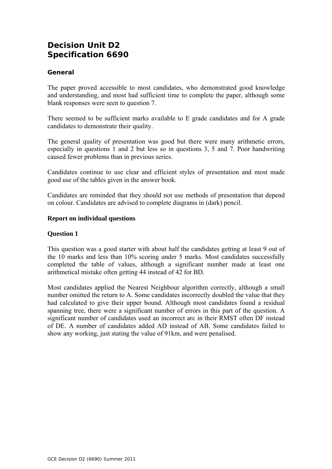# **Decision Unit D2 Specification 6690**

#### **General**

The paper proved accessible to most candidates, who demonstrated good knowledge and understanding, and most had sufficient time to complete the paper, although some blank responses were seen to question 7.

There seemed to be sufficient marks available to E grade candidates and for A grade candidates to demonstrate their quality.

The general quality of presentation was good but there were many arithmetic errors, especially in questions 1 and 2 but less so in questions 3, 5 and 7. Poor handwriting caused fewer problems than in previous series.

Candidates continue to use clear and efficient styles of presentation and most made good use of the tables given in the answer book.

Candidates are reminded that they should not use methods of presentation that depend on colour. Candidates are advised to complete diagrams in (dark) pencil.

#### **Report on individual questions**

#### **Question 1**

This question was a good starter with about half the candidates getting at least 9 out of the 10 marks and less than 10% scoring under 5 marks. Most candidates successfully completed the table of values, although a significant number made at least one arithmetical mistake often getting 44 instead of 42 for BD.

Most candidates applied the Nearest Neighbour algorithm correctly, although a small number omitted the return to A. Some candidates incorrectly doubled the value that they had calculated to give their upper bound. Although most candidates found a residual spanning tree, there were a significant number of errors in this part of the question. A significant number of candidates used an incorrect arc in their RMST often DF instead of DE. A number of candidates added AD instead of AB. Some candidates failed to show any working, just stating the value of 91km, and were penalised.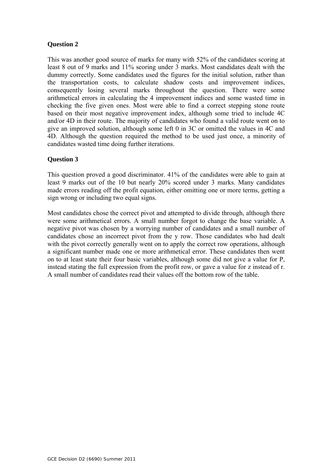#### **Question 2**

This was another good source of marks for many with 52% of the candidates scoring at least 8 out of 9 marks and 11% scoring under 3 marks. Most candidates dealt with the dummy correctly. Some candidates used the figures for the initial solution, rather than the transportation costs, to calculate shadow costs and improvement indices, consequently losing several marks throughout the question. There were some arithmetical errors in calculating the 4 improvement indices and some wasted time in checking the five given ones. Most were able to find a correct stepping stone route based on their most negative improvement index, although some tried to include 4C and/or 4D in their route. The majority of candidates who found a valid route went on to give an improved solution, although some left 0 in 3C or omitted the values in 4C and 4D. Although the question required the method to be used just once, a minority of candidates wasted time doing further iterations.

#### **Question 3**

This question proved a good discriminator. 41% of the candidates were able to gain at least 9 marks out of the 10 but nearly 20% scored under 3 marks. Many candidates made errors reading off the profit equation, either omitting one or more terms, getting a sign wrong or including two equal signs.

Most candidates chose the correct pivot and attempted to divide through, although there were some arithmetical errors. A small number forgot to change the base variable. A negative pivot was chosen by a worrying number of candidates and a small number of candidates chose an incorrect pivot from the y row. Those candidates who had dealt with the pivot correctly generally went on to apply the correct row operations, although a significant number made one or more arithmetical error. These candidates then went on to at least state their four basic variables, although some did not give a value for P, instead stating the full expression from the profit row, or gave a value for z instead of r. A small number of candidates read their values off the bottom row of the table.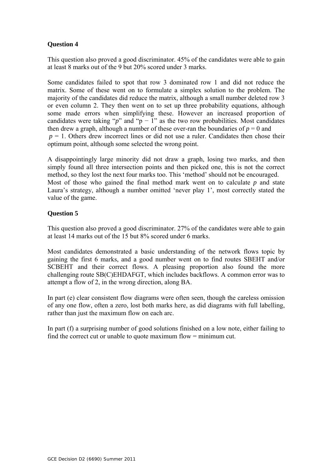## **Question 4**

This question also proved a good discriminator. 45% of the candidates were able to gain at least 8 marks out of the 9 but 20% scored under 3 marks.

Some candidates failed to spot that row 3 dominated row 1 and did not reduce the matrix. Some of these went on to formulate a simplex solution to the problem. The majority of the candidates did reduce the matrix, although a small number deleted row 3 or even column 2. They then went on to set up three probability equations, although some made errors when simplifying these. However an increased proportion of candidates were taking " $p$ " and "p – 1" as the two row probabilities. Most candidates then drew a graph, although a number of these over-ran the boundaries of  $p = 0$  and  $p = 1$ . Others drew incorrect lines or did not use a ruler. Candidates then chose their optimum point, although some selected the wrong point.

A disappointingly large minority did not draw a graph, losing two marks, and then simply found all three intersection points and then picked one, this is not the correct method, so they lost the next four marks too. This 'method' should not be encouraged. Most of those who gained the final method mark went on to calculate *p* and state Laura's strategy, although a number omitted 'never play 1', most correctly stated the value of the game.

## **Question 5**

This question also proved a good discriminator. 27% of the candidates were able to gain at least 14 marks out of the 15 but 8% scored under 6 marks.

Most candidates demonstrated a basic understanding of the network flows topic by gaining the first 6 marks, and a good number went on to find routes SBEHT and/or SCBEHT and their correct flows. A pleasing proportion also found the more challenging route SB(C)EHDAFGT, which includes backflows. A common error was to attempt a flow of 2, in the wrong direction, along BA.

In part (e) clear consistent flow diagrams were often seen, though the careless omission of any one flow, often a zero, lost both marks here, as did diagrams with full labelling, rather than just the maximum flow on each arc.

In part (f) a surprising number of good solutions finished on a low note, either failing to find the correct cut or unable to quote maximum flow = minimum cut.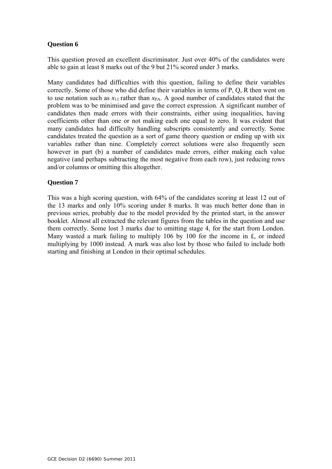#### **Question 6**

This question proved an excellent discriminator. Just over 40% of the candidates were able to gain at least 8 marks out of the 9 but 21% scored under 3 marks.

Many candidates had difficulties with this question, failing to define their variables correctly. Some of those who did define their variables in terms of P, Q, R then went on to use notation such as  $x_{11}$  rather than  $x_{PA}$ . A good number of candidates stated that the problem was to be minimised and gave the correct expression. A significant number of candidates then made errors with their constraints, either using inequalities, having coefficients other than one or not making each one equal to zero. It was evident that many candidates had difficulty handling subscripts consistently and correctly. Some candidates treated the question as a sort of game theory question or ending up with six variables rather than nine. Completely correct solutions were also frequently seen however in part (b) a number of candidates made errors, either making each value negative (and perhaps subtracting the most negative from each row), just reducing rows and/or columns or omitting this altogether.

#### **Question 7**

This was a high scoring question, with 64% of the candidates scoring at least 12 out of the 13 marks and only 10% scoring under 8 marks. It was much better done than in previous series, probably due to the model provided by the printed start, in the answer booklet. Almost all extracted the relevant figures from the tables in the question and use them correctly. Some lost 3 marks due to omitting stage 4, for the start from London. Many wasted a mark failing to multiply 106 by 100 for the income in £, or indeed multiplying by 1000 instead. A mark was also lost by those who failed to include both starting and finishing at London in their optimal schedules.